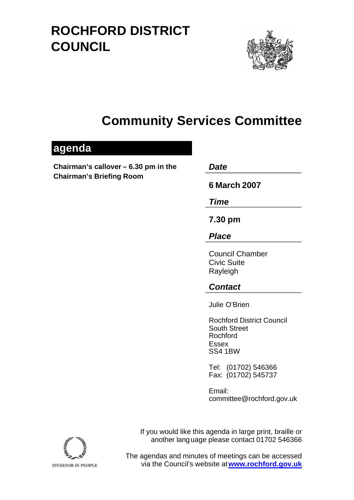# **ROCHFORD DISTRICT COUNCIL**



# **Community Services Committee**

## **agenda**

**Chairman's callover – 6.30 pm in the** *Date*  **Chairman's Briefing Room** 

**6 March 2007** 

*Time* 

**7.30 pm**

*Place* 

Council Chamber Civic Suite Rayleigh

## *Contact*

Julie O'Brien

Rochford District Council South Street Rochford Essex SS4 1BW

Tel: (01702) 546366 Fax: (01702) 545737

Email: committee@rochford.gov.uk

If you would like this agenda in large print, braille or another lang uage please contact 01702 546366



The agendas and minutes of meetings can be accessed via the Council's website at **www.rochford.gov.uk**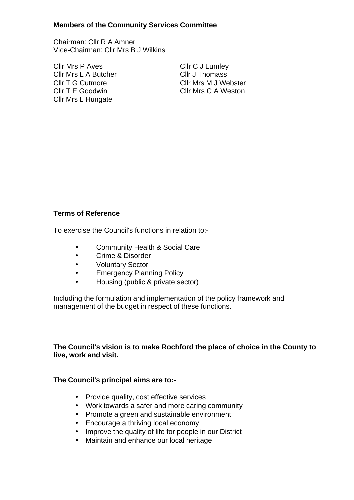#### **Members of the Community Services Committee**

Chairman: Cllr R A Amner Vice-Chairman: Cllr Mrs B J Wilkins

Cllr Mrs P Aves Cllr C J Lumley Cllr Mrs L A Butcher Cllr J Thomass Cllr Mrs L Hungate

Cllr T G Cutmore Cllr Mrs M J Webster Cllr T E Goodwin Cllr Mrs C A Weston

### **Terms of Reference**

To exercise the Council's functions in relation to:-

- Community Health & Social Care
- Crime & Disorder
- Voluntary Sector
- Emergency Planning Policy
- Housing (public & private sector)

Including the formulation and implementation of the policy framework and management of the budget in respect of these functions.

### **The Council's vision is to make Rochford the place of choice in the County to live, work and visit.**

#### **The Council's principal aims are to:-**

- Provide quality, cost effective services
- Work towards a safer and more caring community
- Promote a green and sustainable environment
- Encourage a thriving local economy
- Improve the quality of life for people in our District
- Maintain and enhance our local heritage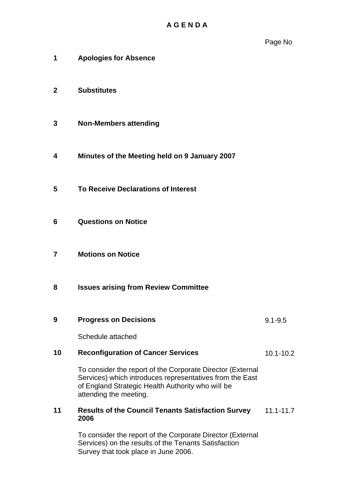- **1 Apologies for Absence**
- **2 Substitutes**
- **3 Non-Members attending**
- **4 Minutes of the Meeting held on 9 January 2007**
- **5 To Receive Declarations of Interest**
- **6 Questions on Notice**
- **7 Motions on Notice**
- **8 Issues arising from Review Committee**
- **9 Progress on Decisions**  9.1-9.5

Schedule attached

#### **10 Reconfiguration of Cancer Services**  10.1-10.2

To consider the report of the Corporate Director (External Services) which introduces representatives from the East of England Strategic Health Authority who will be attending the meeting.

#### **11 Results of the Council Tenants Satisfaction Survey 2006**  11.1-11.7

To consider the report of the Corporate Director (External Services) on the results of the Tenants Satisfaction Survey that took place in June 2006.